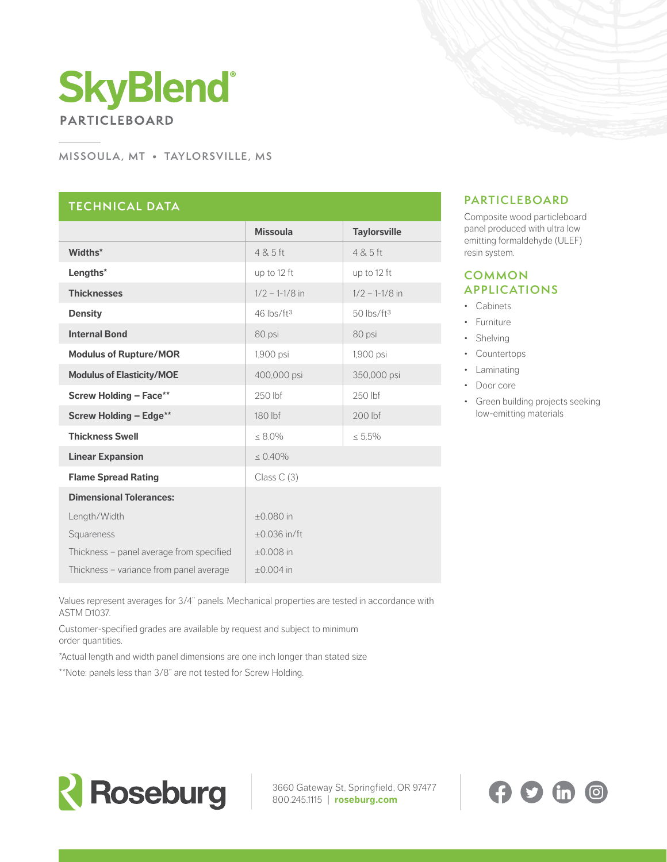# **SkyBlend PARTICLEBOARD**

#### **MISSOULA, MT • TAYLORSVILLE, MS**

## **TECHNICAL DATA**

|                                          | <b>Missoula</b>          | <b>Taylorsville</b>      |
|------------------------------------------|--------------------------|--------------------------|
| Widths*                                  | 4 & 5 ft                 | 4 & 5 ft                 |
| Lengths*                                 | up to 12 ft              | up to 12 ft              |
| <b>Thicknesses</b>                       | $1/2 - 1 - 1/8$ in       | $1/2 - 1 - 1/8$ in       |
| <b>Density</b>                           | $46$ lbs/ft <sup>3</sup> | $50$ lbs/ft <sup>3</sup> |
| <b>Internal Bond</b>                     | 80 psi                   | 80 psi                   |
| <b>Modulus of Rupture/MOR</b>            | 1,900 psi                | 1,900 psi                |
| <b>Modulus of Elasticity/MOE</b>         | 400,000 psi              | 350,000 psi              |
| <b>Screw Holding - Face**</b>            | 250 lbf                  | 250 lbf                  |
| <b>Screw Holding - Edge**</b>            | 180 lbf                  | 200 lbf                  |
| <b>Thickness Swell</b>                   | $\leq 8.0\%$             | $\leq 5.5\%$             |
| <b>Linear Expansion</b>                  | $\leq 0.40\%$            |                          |
| <b>Flame Spread Rating</b>               | Class $C(3)$             |                          |
| <b>Dimensional Tolerances:</b>           |                          |                          |
| Length/Width                             | $+0.080$ in              |                          |
| Squareness                               | $\pm 0.036$ in/ft        |                          |
| Thickness - panel average from specified | $\pm 0.008$ in           |                          |
| Thickness - variance from panel average  | $\pm 0.004$ in           |                          |

### **PARTICLEBOARD**

Composite wood particleboard panel produced with ultra low emitting formaldehyde (ULEF) resin system.

#### **COMMON APPLICATIONS**

- Cabinets
- Furniture
- Shelving
- Countertops
- Laminating
- Door core
- Green building projects seeking low-emitting materials

Values represent averages for 3/4" panels. Mechanical properties are tested in accordance with ASTM D1037.

Customer-specified grades are available by request and subject to minimum order quantities.

\*Actual length and width panel dimensions are one inch longer than stated size

\*\*Note: panels less than 3/8" are not tested for Screw Holding.



3660 Gateway St, Springfield, OR 97477 800.245.1115 | **[roseburg.com](http://roseburg.com  )**